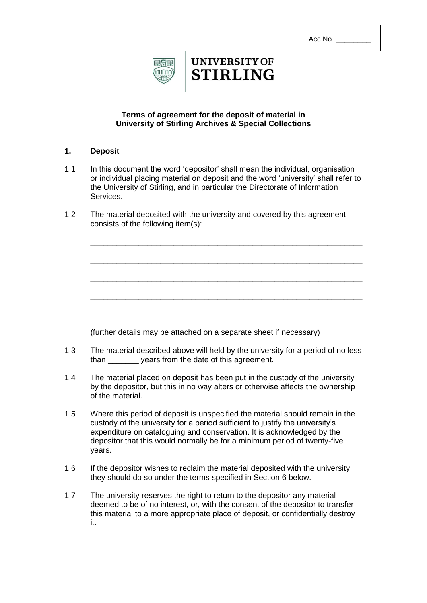| Acc No. |
|---------|
|---------|



# **UNIVERSITY OF STIRLING**

## **Terms of agreement for the deposit of material in University of Stirling Archives & Special Collections**

#### **1. Deposit**

1.1 In this document the word 'depositor' shall mean the individual, organisation or individual placing material on deposit and the word 'university' shall refer to the University of Stirling, and in particular the Directorate of Information Services.

\_\_\_\_\_\_\_\_\_\_\_\_\_\_\_\_\_\_\_\_\_\_\_\_\_\_\_\_\_\_\_\_\_\_\_\_\_\_\_\_\_\_\_\_\_\_\_\_\_\_\_\_\_\_\_\_\_\_\_\_\_\_

\_\_\_\_\_\_\_\_\_\_\_\_\_\_\_\_\_\_\_\_\_\_\_\_\_\_\_\_\_\_\_\_\_\_\_\_\_\_\_\_\_\_\_\_\_\_\_\_\_\_\_\_\_\_\_\_\_\_\_\_\_\_

\_\_\_\_\_\_\_\_\_\_\_\_\_\_\_\_\_\_\_\_\_\_\_\_\_\_\_\_\_\_\_\_\_\_\_\_\_\_\_\_\_\_\_\_\_\_\_\_\_\_\_\_\_\_\_\_\_\_\_\_\_\_

\_\_\_\_\_\_\_\_\_\_\_\_\_\_\_\_\_\_\_\_\_\_\_\_\_\_\_\_\_\_\_\_\_\_\_\_\_\_\_\_\_\_\_\_\_\_\_\_\_\_\_\_\_\_\_\_\_\_\_\_\_\_

\_\_\_\_\_\_\_\_\_\_\_\_\_\_\_\_\_\_\_\_\_\_\_\_\_\_\_\_\_\_\_\_\_\_\_\_\_\_\_\_\_\_\_\_\_\_\_\_\_\_\_\_\_\_\_\_\_\_\_\_\_\_

1.2 The material deposited with the university and covered by this agreement consists of the following item(s):

(further details may be attached on a separate sheet if necessary)

- 1.3 The material described above will held by the university for a period of no less than \_\_\_\_\_\_\_ years from the date of this agreement.
- 1.4 The material placed on deposit has been put in the custody of the university by the depositor, but this in no way alters or otherwise affects the ownership of the material.
- 1.5 Where this period of deposit is unspecified the material should remain in the custody of the university for a period sufficient to justify the university's expenditure on cataloguing and conservation. It is acknowledged by the depositor that this would normally be for a minimum period of twenty-five years.
- 1.6 If the depositor wishes to reclaim the material deposited with the university they should do so under the terms specified in Section 6 below.
- 1.7 The university reserves the right to return to the depositor any material deemed to be of no interest, or, with the consent of the depositor to transfer this material to a more appropriate place of deposit, or confidentially destroy it.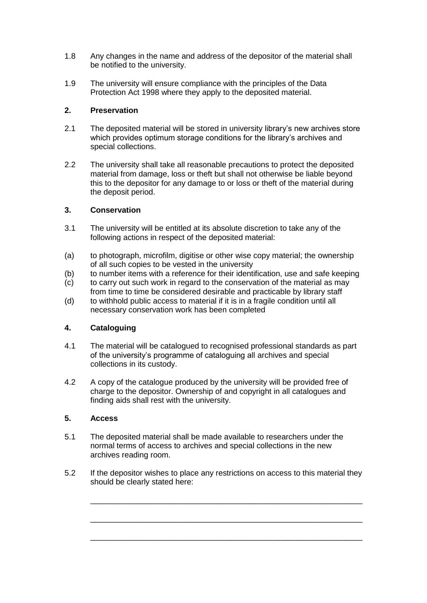- 1.8 Any changes in the name and address of the depositor of the material shall be notified to the university.
- 1.9 The university will ensure compliance with the principles of the Data Protection Act 1998 where they apply to the deposited material.

## **2. Preservation**

- 2.1 The deposited material will be stored in university library's new archives store which provides optimum storage conditions for the library's archives and special collections.
- 2.2 The university shall take all reasonable precautions to protect the deposited material from damage, loss or theft but shall not otherwise be liable beyond this to the depositor for any damage to or loss or theft of the material during the deposit period.

# **3. Conservation**

- 3.1 The university will be entitled at its absolute discretion to take any of the following actions in respect of the deposited material:
- (a) to photograph, microfilm, digitise or other wise copy material; the ownership of all such copies to be vested in the university
- (b) to number items with a reference for their identification, use and safe keeping
- (c) to carry out such work in regard to the conservation of the material as may from time to time be considered desirable and practicable by library staff
- (d) to withhold public access to material if it is in a fragile condition until all necessary conservation work has been completed

# **4. Cataloguing**

- 4.1 The material will be catalogued to recognised professional standards as part of the university's programme of cataloguing all archives and special collections in its custody.
- 4.2 A copy of the catalogue produced by the university will be provided free of charge to the depositor. Ownership of and copyright in all catalogues and finding aids shall rest with the university.

#### **5. Access**

- 5.1 The deposited material shall be made available to researchers under the normal terms of access to archives and special collections in the new archives reading room.
- 5.2 If the depositor wishes to place any restrictions on access to this material they should be clearly stated here:

\_\_\_\_\_\_\_\_\_\_\_\_\_\_\_\_\_\_\_\_\_\_\_\_\_\_\_\_\_\_\_\_\_\_\_\_\_\_\_\_\_\_\_\_\_\_\_\_\_\_\_\_\_\_\_\_\_\_\_\_\_\_

\_\_\_\_\_\_\_\_\_\_\_\_\_\_\_\_\_\_\_\_\_\_\_\_\_\_\_\_\_\_\_\_\_\_\_\_\_\_\_\_\_\_\_\_\_\_\_\_\_\_\_\_\_\_\_\_\_\_\_\_\_\_

\_\_\_\_\_\_\_\_\_\_\_\_\_\_\_\_\_\_\_\_\_\_\_\_\_\_\_\_\_\_\_\_\_\_\_\_\_\_\_\_\_\_\_\_\_\_\_\_\_\_\_\_\_\_\_\_\_\_\_\_\_\_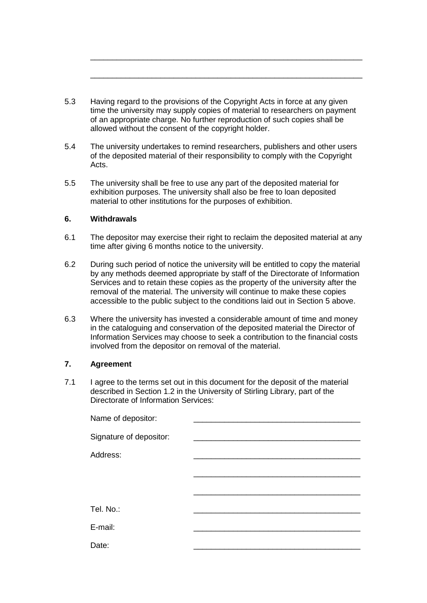5.3 Having regard to the provisions of the Copyright Acts in force at any given time the university may supply copies of material to researchers on payment of an appropriate charge. No further reproduction of such copies shall be allowed without the consent of the copyright holder.

\_\_\_\_\_\_\_\_\_\_\_\_\_\_\_\_\_\_\_\_\_\_\_\_\_\_\_\_\_\_\_\_\_\_\_\_\_\_\_\_\_\_\_\_\_\_\_\_\_\_\_\_\_\_\_\_\_\_\_\_\_\_

\_\_\_\_\_\_\_\_\_\_\_\_\_\_\_\_\_\_\_\_\_\_\_\_\_\_\_\_\_\_\_\_\_\_\_\_\_\_\_\_\_\_\_\_\_\_\_\_\_\_\_\_\_\_\_\_\_\_\_\_\_\_

- 5.4 The university undertakes to remind researchers, publishers and other users of the deposited material of their responsibility to comply with the Copyright Acts.
- 5.5 The university shall be free to use any part of the deposited material for exhibition purposes. The university shall also be free to loan deposited material to other institutions for the purposes of exhibition.

#### **6. Withdrawals**

- 6.1 The depositor may exercise their right to reclaim the deposited material at any time after giving 6 months notice to the university.
- 6.2 During such period of notice the university will be entitled to copy the material by any methods deemed appropriate by staff of the Directorate of Information Services and to retain these copies as the property of the university after the removal of the material. The university will continue to make these copies accessible to the public subject to the conditions laid out in Section 5 above.
- 6.3 Where the university has invested a considerable amount of time and money in the cataloguing and conservation of the deposited material the Director of Information Services may choose to seek a contribution to the financial costs involved from the depositor on removal of the material.

#### **7. Agreement**

7.1 I agree to the terms set out in this document for the deposit of the material described in Section 1.2 in the University of Stirling Library, part of the Directorate of Information Services:

| Name of depositor:      |  |
|-------------------------|--|
| Signature of depositor: |  |
| Address:                |  |
|                         |  |
|                         |  |
| Tel. No.:               |  |
|                         |  |
| E-mail:                 |  |
| Date:                   |  |